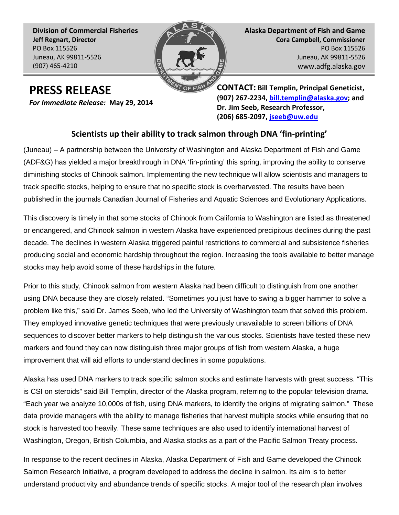**Division of Commercial Fisheries Jeff Regnart, Director** PO Box 115526 Juneau, AK 99811-5526 (907) 465-4210



**Alaska Department of Fish and Game Cora Campbell, Commissioner** PO Box 115526 Juneau, AK 99811-5526 www.adfg.alaska.gov

## **PRESS RELEASE**

*For Immediate Release:* **May 29, 2014**

**CONTACT: Bill Templin, Principal Geneticist, (907) 267-2234, [bill.templin@alaska.gov;](mailto:bill.templin@alaska.gov) and Dr. Jim Seeb, Research Professor, (206) 685-2097, [jseeb@uw.edu](mailto:jseeb@uw.edu)** 

## **Scientists up their ability to track salmon through DNA 'fin-printing'**

(Juneau) – A partnership between the University of Washington and Alaska Department of Fish and Game (ADF&G) has yielded a major breakthrough in DNA 'fin-printing' this spring, improving the ability to conserve diminishing stocks of Chinook salmon. Implementing the new technique will allow scientists and managers to track specific stocks, helping to ensure that no specific stock is overharvested. The results have been published in the journals Canadian Journal of Fisheries and Aquatic Sciences and Evolutionary Applications.

This discovery is timely in that some stocks of Chinook from California to Washington are listed as threatened or endangered, and Chinook salmon in western Alaska have experienced precipitous declines during the past decade. The declines in western Alaska triggered painful restrictions to commercial and subsistence fisheries producing social and economic hardship throughout the region. Increasing the tools available to better manage stocks may help avoid some of these hardships in the future.

Prior to this study, Chinook salmon from western Alaska had been difficult to distinguish from one another using DNA because they are closely related. "Sometimes you just have to swing a bigger hammer to solve a problem like this," said Dr. James Seeb, who led the University of Washington team that solved this problem. They employed innovative genetic techniques that were previously unavailable to screen billions of DNA sequences to discover better markers to help distinguish the various stocks. Scientists have tested these new markers and found they can now distinguish three major groups of fish from western Alaska, a huge improvement that will aid efforts to understand declines in some populations.

Alaska has used DNA markers to track specific salmon stocks and estimate harvests with great success. "This is CSI on steroids" said Bill Templin, director of the Alaska program, referring to the popular television drama. "Each year we analyze 10,000s of fish, using DNA markers, to identify the origins of migrating salmon." These data provide managers with the ability to manage fisheries that harvest multiple stocks while ensuring that no stock is harvested too heavily. These same techniques are also used to identify international harvest of Washington, Oregon, British Columbia, and Alaska stocks as a part of the Pacific Salmon Treaty process.

In response to the recent declines in Alaska, Alaska Department of Fish and Game developed the Chinook Salmon Research Initiative, a program developed to address the decline in salmon. Its aim is to better understand productivity and abundance trends of specific stocks. A major tool of the research plan involves